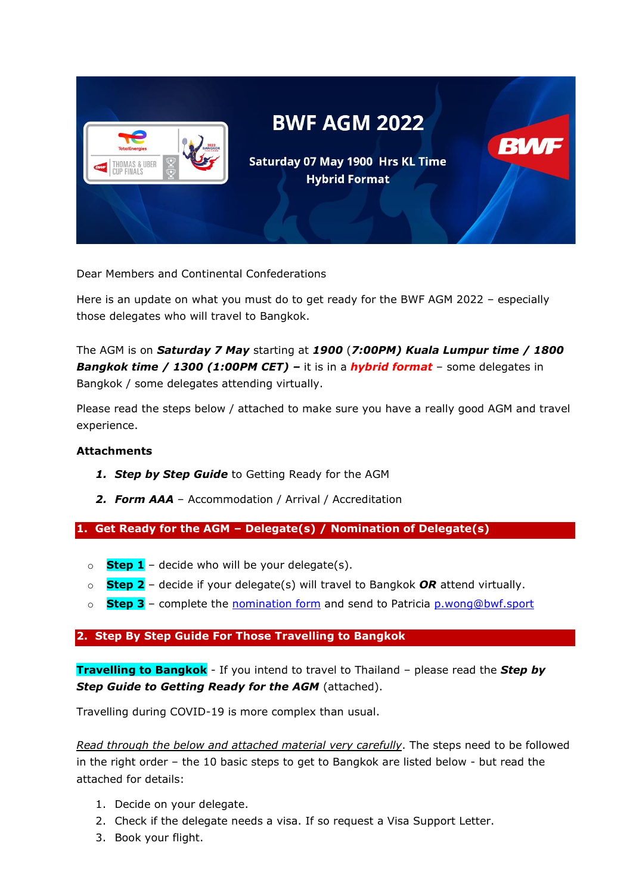

Dear Members and Continental Confederations

Here is an update on what you must do to get ready for the BWF AGM 2022 – especially those delegates who will travel to Bangkok.

The AGM is on *Saturday 7 May* starting at *1900* (*7:00PM) Kuala Lumpur time / 1800 Bangkok time / 1300 (1:00PM CET) –* it is in a *hybrid format* – some delegates in Bangkok / some delegates attending virtually.

Please read the steps below / attached to make sure you have a really good AGM and travel experience.

# **Attachments**

- *1. Step by Step Guide* to Getting Ready for the AGM
- *2. Form AAA* Accommodation / Arrival / Accreditation

**1. Get Ready for the AGM – Delegate(s) / Nomination of Delegate(s)**

- $\circ$  **Step 1** decide who will be your delegate(s).
- o **Step 2** decide if your delegate(s) will travel to Bangkok *OR* attend virtually.
- o **Step 3** complete the [nomination form](https://view.officeapps.live.com/op/view.aspx?src=https%3A%2F%2Fextranet.bwfbadminton.com%2Fdocs%2Fdocument-system%2F81%2F82%2F961%2FBWF%2520AGM%25202022%2520-%2520Delegates%2520Nomination%2520Form.doc&wdOrigin=BROWSELINK) and send to Patricia [p.wong@bwf.sport](mailto:p.wong@bwf.sport)

# **2. Step By Step Guide For Those Travelling to Bangkok**

**Travelling to Bangkok** - If you intend to travel to Thailand – please read the *Step by Step Guide to Getting Ready for the AGM* (attached).

Travelling during COVID-19 is more complex than usual.

*Read through the below and attached material very carefully*. The steps need to be followed in the right order – the 10 basic steps to get to Bangkok are listed below - but read the attached for details:

- 1. Decide on your delegate.
- 2. Check if the delegate needs a visa. If so request a Visa Support Letter.
- 3. Book your flight.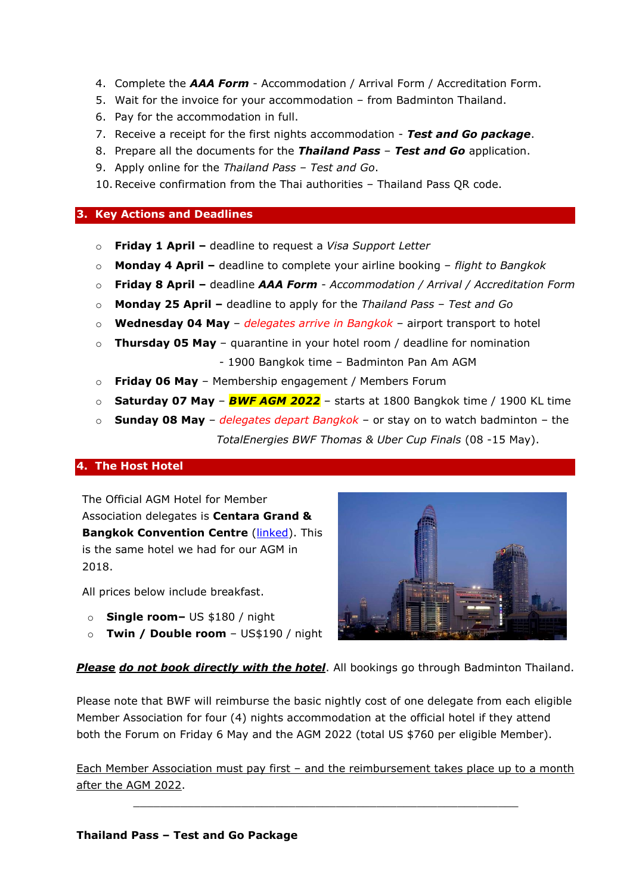- 4. Complete the *AAA Form* Accommodation / Arrival Form / Accreditation Form.
- 5. Wait for the invoice for your accommodation from Badminton Thailand.
- 6. Pay for the accommodation in full.
- 7. Receive a receipt for the first nights accommodation *Test and Go package*.
- 8. Prepare all the documents for the *Thailand Pass Test and Go* application.
- 9. Apply online for the *Thailand Pass – Test and Go*.
- 10.Receive confirmation from the Thai authorities Thailand Pass QR code.

# **3. Key Actions and Deadlines**

- o **Friday 1 April –** deadline to request a *Visa Support Letter*
- o **Monday 4 April –** deadline to complete your airline booking *flight to Bangkok*
- o **Friday 8 April –** deadline *AAA Form Accommodation / Arrival / Accreditation Form*
- o **Monday 25 April –** deadline to apply for the *Thailand Pass – Test and Go*
- o **Wednesday 04 May** *delegates arrive in Bangkok* airport transport to hotel
- o **Thursday 05 May** quarantine in your hotel room / deadline for nomination
	- 1900 Bangkok time Badminton Pan Am AGM
- o **Friday 06 May** Membership engagement / Members Forum
- o **Saturday 07 May** *BWF AGM 2022* starts at 1800 Bangkok time / 1900 KL time
- o **Sunday 08 May** *delegates depart Bangkok* or stay on to watch badminton the *TotalEnergies BWF Thomas & Uber Cup Finals* (08 -15 May).

## **4. The Host Hotel**

The Official AGM Hotel for Member Association delegates is **Centara Grand & Bangkok Convention Centre [\(linked\)](https://www.centarahotelsresorts.com/centaragrand/cgcw/?utm_source=adwords&utm_medium=ppc&utm_campaign=brand-search-cgcw).** This is the same hotel we had for our AGM in 2018.

All prices below include breakfast.

- o **Single room–** US \$180 / night
- o **Twin / Double room**  US\$190 / night



# *Please do not book directly with the hotel*. All bookings go through Badminton Thailand.

Please note that BWF will reimburse the basic nightly cost of one delegate from each eligible Member Association for four (4) nights accommodation at the official hotel if they attend both the Forum on Friday 6 May and the AGM 2022 (total US \$760 per eligible Member).

Each Member Association must pay first – and the reimbursement takes place up to a month after the AGM 2022.

 $\_$  , and the set of the set of the set of the set of the set of the set of the set of the set of the set of the set of the set of the set of the set of the set of the set of the set of the set of the set of the set of th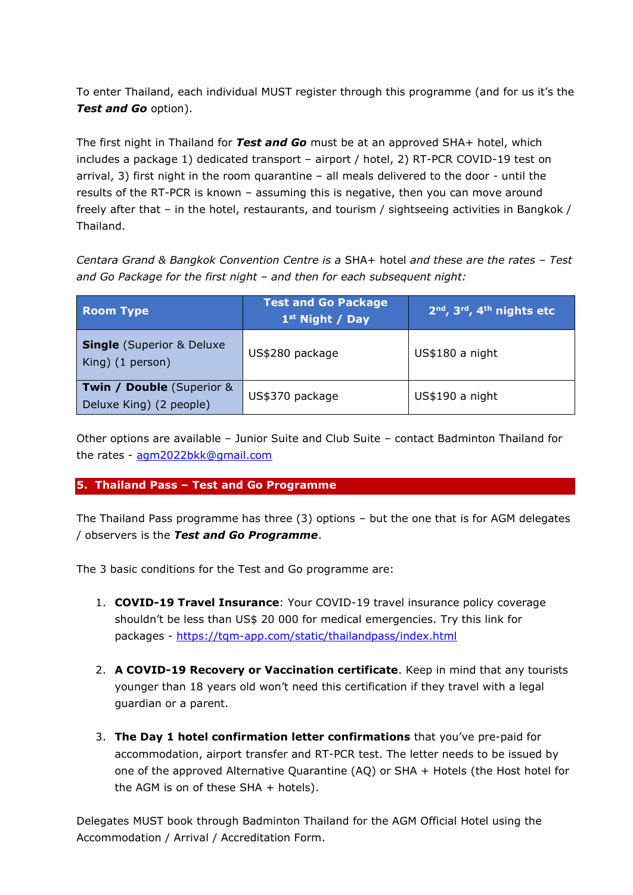To enter Thailand, each individual MUST register through this programme (and for us it's the *Test and Go* option).

The first night in Thailand for *Test and Go* must be at an approved SHA+ hotel, which includes a package 1) dedicated transport – airport / hotel, 2) RT-PCR COVID-19 test on arrival, 3) first night in the room quarantine – all meals delivered to the door - until the results of the RT-PCR is known – assuming this is negative, then you can move around freely after that – in the hotel, restaurants, and tourism / sightseeing activities in Bangkok / Thailand.

*Centara Grand & Bangkok Convention Centre is a* SHA+ hotel *and these are the rates – Test and Go Package for the first night – and then for each subsequent night:*

| <b>Room Type</b>                                                | <b>Test and Go Package</b><br>1 <sup>st</sup> Night / Day | $2nd$ , $3rd$ , $4th$ nights etc |
|-----------------------------------------------------------------|-----------------------------------------------------------|----------------------------------|
| <b>Single</b> (Superior & Deluxe<br>King) (1 person)            | US\$280 package                                           | US\$180 a night                  |
| <b>Twin / Double (Superior &amp;</b><br>Deluxe King) (2 people) | US\$370 package                                           | US\$190 a night                  |

Other options are available – Junior Suite and Club Suite – contact Badminton Thailand for the rates - [agm2022bkk@gmail.com](mailto:agm2022bkk@gmail.com)

# **5. Thailand Pass – Test and Go Programme**

The Thailand Pass programme has three (3) options – but the one that is for AGM delegates / observers is the *Test and Go Programme*.

The 3 basic conditions for the Test and Go programme are:

- 1. **COVID-19 Travel Insurance**: Your COVID-19 travel insurance policy coverage shouldn't be less than US\$ 20 000 for medical emergencies. Try this link for packages - <https://tqm-app.com/static/thailandpass/index.html>
- 2. **A COVID-19 Recovery or Vaccination certificate**. Keep in mind that any tourists younger than 18 years old won't need this certification if they travel with a legal guardian or a parent.
- 3. **The Day 1 hotel confirmation letter confirmations** that you've pre-paid for accommodation, airport transfer and RT-PCR test. The letter needs to be issued by one of the approved Alternative Quarantine (AQ) or SHA + Hotels (the Host hotel for the AGM is on of these  $SHA + hotels$ .

Delegates MUST book through Badminton Thailand for the AGM Official Hotel using the Accommodation / Arrival / Accreditation Form.